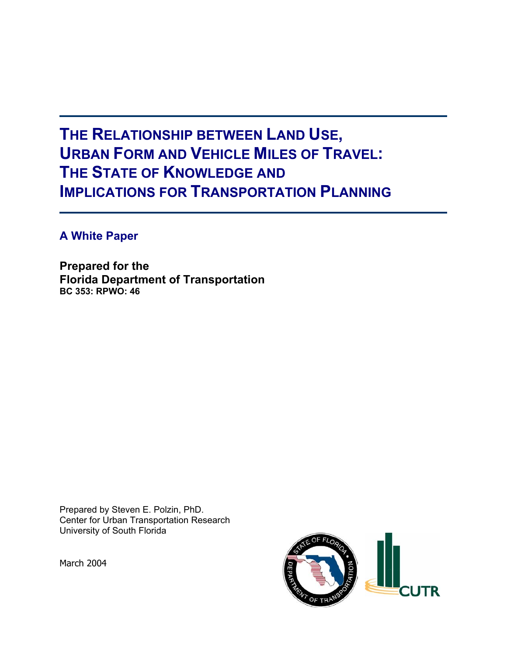# **THE RELATIONSHIP BETWEEN LAND USE, URBAN FORM AND VEHICLE MILES OF TRAVEL: THE STATE OF KNOWLEDGE AND IMPLICATIONS FOR TRANSPORTATION PLANNING**

**A White Paper** 

**Prepared for the Florida Department of Transportation BC 353: RPWO: 46**

Prepared by Steven E. Polzin, PhD. Center for Urban Transportation Research University of South Florida

March 2004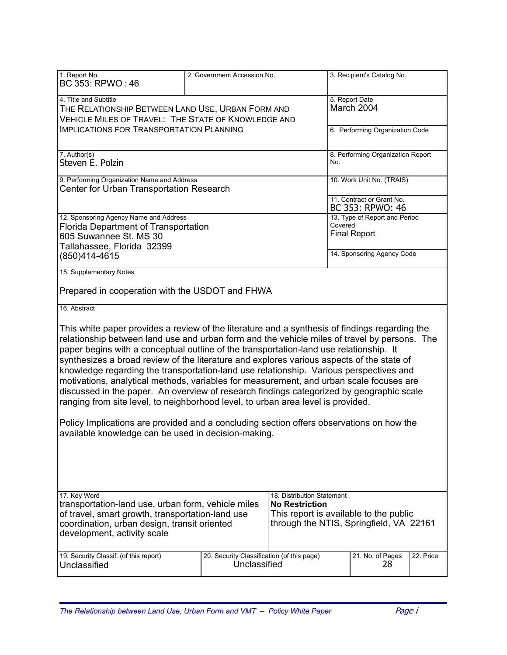| 1. Report No.<br>BC 353: RPWO: 46                                                                                                                                                                                                                                                                                                                                                                                                                                                                                                                                                                                                                                                                                                                                                                                                                                                                             | 2. Government Accession No.                |                                                     | 3. Recipient's Catalog No.        |           |
|---------------------------------------------------------------------------------------------------------------------------------------------------------------------------------------------------------------------------------------------------------------------------------------------------------------------------------------------------------------------------------------------------------------------------------------------------------------------------------------------------------------------------------------------------------------------------------------------------------------------------------------------------------------------------------------------------------------------------------------------------------------------------------------------------------------------------------------------------------------------------------------------------------------|--------------------------------------------|-----------------------------------------------------|-----------------------------------|-----------|
|                                                                                                                                                                                                                                                                                                                                                                                                                                                                                                                                                                                                                                                                                                                                                                                                                                                                                                               |                                            |                                                     |                                   |           |
| 4. Title and Subtitle                                                                                                                                                                                                                                                                                                                                                                                                                                                                                                                                                                                                                                                                                                                                                                                                                                                                                         |                                            |                                                     | 5. Report Date                    |           |
| THE RELATIONSHIP BETWEEN LAND USE, URBAN FORM AND                                                                                                                                                                                                                                                                                                                                                                                                                                                                                                                                                                                                                                                                                                                                                                                                                                                             |                                            |                                                     | March 2004                        |           |
| VEHICLE MILES OF TRAVEL: THE STATE OF KNOWLEDGE AND                                                                                                                                                                                                                                                                                                                                                                                                                                                                                                                                                                                                                                                                                                                                                                                                                                                           |                                            |                                                     |                                   |           |
| <b>IMPLICATIONS FOR TRANSPORTATION PLANNING</b>                                                                                                                                                                                                                                                                                                                                                                                                                                                                                                                                                                                                                                                                                                                                                                                                                                                               |                                            |                                                     | 6. Performing Organization Code   |           |
|                                                                                                                                                                                                                                                                                                                                                                                                                                                                                                                                                                                                                                                                                                                                                                                                                                                                                                               |                                            |                                                     |                                   |           |
|                                                                                                                                                                                                                                                                                                                                                                                                                                                                                                                                                                                                                                                                                                                                                                                                                                                                                                               |                                            |                                                     |                                   |           |
| 7. Author(s)<br>Steven E. Polzin                                                                                                                                                                                                                                                                                                                                                                                                                                                                                                                                                                                                                                                                                                                                                                                                                                                                              |                                            | No.                                                 | 8. Performing Organization Report |           |
|                                                                                                                                                                                                                                                                                                                                                                                                                                                                                                                                                                                                                                                                                                                                                                                                                                                                                                               |                                            |                                                     |                                   |           |
| 9. Performing Organization Name and Address                                                                                                                                                                                                                                                                                                                                                                                                                                                                                                                                                                                                                                                                                                                                                                                                                                                                   |                                            |                                                     | 10. Work Unit No. (TRAIS)         |           |
| Center for Urban Transportation Research                                                                                                                                                                                                                                                                                                                                                                                                                                                                                                                                                                                                                                                                                                                                                                                                                                                                      |                                            |                                                     |                                   |           |
|                                                                                                                                                                                                                                                                                                                                                                                                                                                                                                                                                                                                                                                                                                                                                                                                                                                                                                               |                                            |                                                     | 11. Contract or Grant No.         |           |
|                                                                                                                                                                                                                                                                                                                                                                                                                                                                                                                                                                                                                                                                                                                                                                                                                                                                                                               |                                            |                                                     | BC 353: RPWO: 46                  |           |
| 12. Sponsoring Agency Name and Address                                                                                                                                                                                                                                                                                                                                                                                                                                                                                                                                                                                                                                                                                                                                                                                                                                                                        |                                            |                                                     | 13. Type of Report and Period     |           |
| Florida Department of Transportation                                                                                                                                                                                                                                                                                                                                                                                                                                                                                                                                                                                                                                                                                                                                                                                                                                                                          |                                            | Covered                                             |                                   |           |
| 605 Suwannee St. MS 30                                                                                                                                                                                                                                                                                                                                                                                                                                                                                                                                                                                                                                                                                                                                                                                                                                                                                        |                                            |                                                     | <b>Final Report</b>               |           |
| Tallahassee, Florida 32399                                                                                                                                                                                                                                                                                                                                                                                                                                                                                                                                                                                                                                                                                                                                                                                                                                                                                    |                                            |                                                     |                                   |           |
| (850)414-4615                                                                                                                                                                                                                                                                                                                                                                                                                                                                                                                                                                                                                                                                                                                                                                                                                                                                                                 |                                            |                                                     | 14. Sponsoring Agency Code        |           |
| 15. Supplementary Notes                                                                                                                                                                                                                                                                                                                                                                                                                                                                                                                                                                                                                                                                                                                                                                                                                                                                                       |                                            |                                                     |                                   |           |
|                                                                                                                                                                                                                                                                                                                                                                                                                                                                                                                                                                                                                                                                                                                                                                                                                                                                                                               |                                            |                                                     |                                   |           |
| Prepared in cooperation with the USDOT and FHWA                                                                                                                                                                                                                                                                                                                                                                                                                                                                                                                                                                                                                                                                                                                                                                                                                                                               |                                            |                                                     |                                   |           |
| 16. Abstract                                                                                                                                                                                                                                                                                                                                                                                                                                                                                                                                                                                                                                                                                                                                                                                                                                                                                                  |                                            |                                                     |                                   |           |
| This white paper provides a review of the literature and a synthesis of findings regarding the<br>relationship between land use and urban form and the vehicle miles of travel by persons. The<br>paper begins with a conceptual outline of the transportation-land use relationship. It<br>synthesizes a broad review of the literature and explores various aspects of the state of<br>knowledge regarding the transportation-land use relationship. Various perspectives and<br>motivations, analytical methods, variables for measurement, and urban scale focuses are<br>discussed in the paper. An overview of research findings categorized by geographic scale<br>ranging from site level, to neighborhood level, to urban area level is provided.<br>Policy Implications are provided and a concluding section offers observations on how the<br>available knowledge can be used in decision-making. |                                            |                                                     |                                   |           |
| 17. Key Word<br>transportation-land use, urban form, vehicle miles                                                                                                                                                                                                                                                                                                                                                                                                                                                                                                                                                                                                                                                                                                                                                                                                                                            |                                            | 18. Distribution Statement<br><b>No Restriction</b> |                                   |           |
| of travel, smart growth, transportation-land use                                                                                                                                                                                                                                                                                                                                                                                                                                                                                                                                                                                                                                                                                                                                                                                                                                                              | This report is available to the public     |                                                     |                                   |           |
| through the NTIS, Springfield, VA 22161<br>coordination, urban design, transit oriented                                                                                                                                                                                                                                                                                                                                                                                                                                                                                                                                                                                                                                                                                                                                                                                                                       |                                            |                                                     |                                   |           |
| development, activity scale                                                                                                                                                                                                                                                                                                                                                                                                                                                                                                                                                                                                                                                                                                                                                                                                                                                                                   |                                            |                                                     |                                   |           |
| 19. Security Classif. (of this report)                                                                                                                                                                                                                                                                                                                                                                                                                                                                                                                                                                                                                                                                                                                                                                                                                                                                        | 20. Security Classification (of this page) |                                                     | 21. No. of Pages                  | 22. Price |
| Unclassified                                                                                                                                                                                                                                                                                                                                                                                                                                                                                                                                                                                                                                                                                                                                                                                                                                                                                                  | Unclassified                               |                                                     | 28                                |           |
|                                                                                                                                                                                                                                                                                                                                                                                                                                                                                                                                                                                                                                                                                                                                                                                                                                                                                                               |                                            |                                                     |                                   |           |
|                                                                                                                                                                                                                                                                                                                                                                                                                                                                                                                                                                                                                                                                                                                                                                                                                                                                                                               |                                            |                                                     |                                   |           |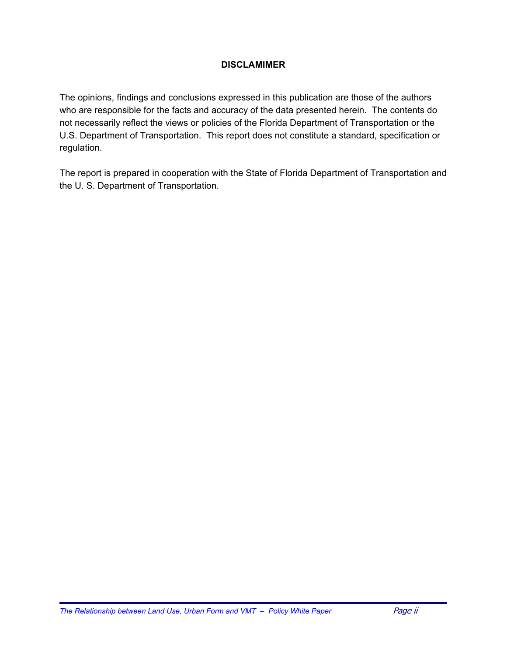#### **DISCLAMIMER**

The opinions, findings and conclusions expressed in this publication are those of the authors who are responsible for the facts and accuracy of the data presented herein. The contents do not necessarily reflect the views or policies of the Florida Department of Transportation or the U.S. Department of Transportation. This report does not constitute a standard, specification or regulation.

The report is prepared in cooperation with the State of Florida Department of Transportation and the U. S. Department of Transportation.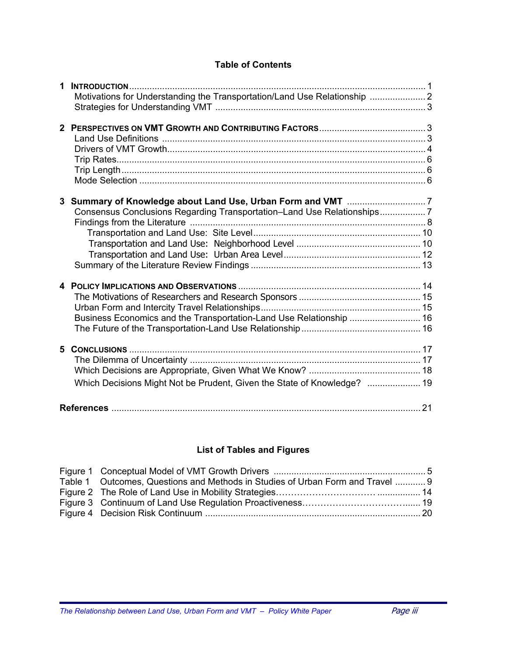#### **Table of Contents**

| 1              | <b>INTRODUCTION</b><br>Motivations for Understanding the Transportation/Land Use Relationship |    |
|----------------|-----------------------------------------------------------------------------------------------|----|
|                |                                                                                               |    |
| 3 <sup>1</sup> | Consensus Conclusions Regarding Transportation-Land Use Relationships7                        |    |
|                | Business Economics and the Transportation-Land Use Relationship  16                           |    |
| 5.             | Which Decisions Might Not be Prudent, Given the State of Knowledge?  19                       |    |
|                |                                                                                               | 21 |

#### **List of Tables and Figures**

| Table 1 Outcomes, Questions and Methods in Studies of Urban Form and Travel  9 |  |
|--------------------------------------------------------------------------------|--|
|                                                                                |  |
|                                                                                |  |
|                                                                                |  |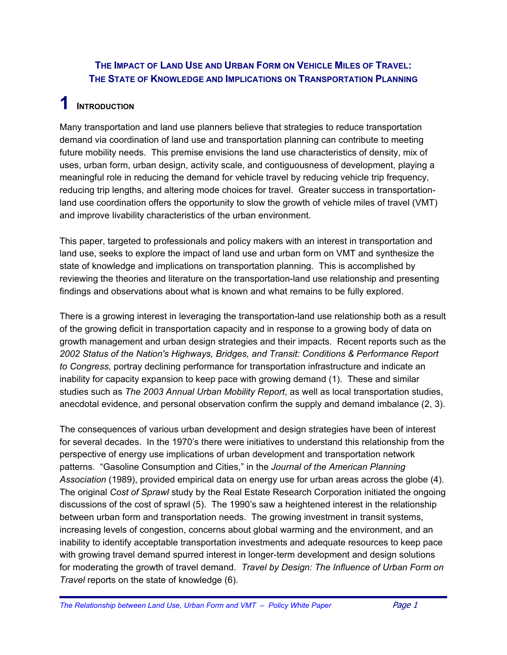### **THE IMPACT OF LAND USE AND URBAN FORM ON VEHICLE MILES OF TRAVEL: THE STATE OF KNOWLEDGE AND IMPLICATIONS ON TRANSPORTATION PLANNING**

### **1 INTRODUCTION**

Many transportation and land use planners believe that strategies to reduce transportation demand via coordination of land use and transportation planning can contribute to meeting future mobility needs. This premise envisions the land use characteristics of density, mix of uses, urban form, urban design, activity scale, and contiguousness of development, playing a meaningful role in reducing the demand for vehicle travel by reducing vehicle trip frequency, reducing trip lengths, and altering mode choices for travel. Greater success in transportationland use coordination offers the opportunity to slow the growth of vehicle miles of travel (VMT) and improve livability characteristics of the urban environment.

This paper, targeted to professionals and policy makers with an interest in transportation and land use, seeks to explore the impact of land use and urban form on VMT and synthesize the state of knowledge and implications on transportation planning. This is accomplished by reviewing the theories and literature on the transportation-land use relationship and presenting findings and observations about what is known and what remains to be fully explored.

There is a growing interest in leveraging the transportation-land use relationship both as a result of the growing deficit in transportation capacity and in response to a growing body of data on growth management and urban design strategies and their impacts. Recent reports such as the *2002 Status of the Nation's Highways, Bridges, and Transit: Conditions & Performance Report to Congress,* portray declining performance for transportation infrastructure and indicate an inability for capacity expansion to keep pace with growing demand (1). These and similar studies such as *The 2003 Annual Urban Mobility Report*, as well as local transportation studies, anecdotal evidence, and personal observation confirm the supply and demand imbalance (2, 3).

The consequences of various urban development and design strategies have been of interest for several decades. In the 1970's there were initiatives to understand this relationship from the perspective of energy use implications of urban development and transportation network patterns. "Gasoline Consumption and Cities," in the *Journal of the American Planning Association* (1989), provided empirical data on energy use for urban areas across the globe (4). The original *Cost of Sprawl* study by the Real Estate Research Corporation initiated the ongoing discussions of the cost of sprawl (5). The 1990's saw a heightened interest in the relationship between urban form and transportation needs. The growing investment in transit systems, increasing levels of congestion, concerns about global warming and the environment, and an inability to identify acceptable transportation investments and adequate resources to keep pace with growing travel demand spurred interest in longer-term development and design solutions for moderating the growth of travel demand. *Travel by Design: The Influence of Urban Form on Travel* reports on the state of knowledge (6).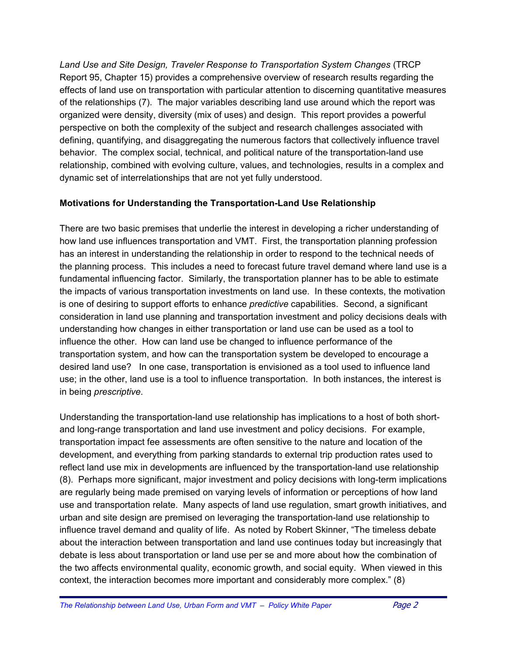*Land Use and Site Design, Traveler Response to Transportation System Changes* (TRCP Report 95, Chapter 15) provides a comprehensive overview of research results regarding the effects of land use on transportation with particular attention to discerning quantitative measures of the relationships (7). The major variables describing land use around which the report was organized were density, diversity (mix of uses) and design. This report provides a powerful perspective on both the complexity of the subject and research challenges associated with defining, quantifying, and disaggregating the numerous factors that collectively influence travel behavior. The complex social, technical, and political nature of the transportation-land use relationship, combined with evolving culture, values, and technologies, results in a complex and dynamic set of interrelationships that are not yet fully understood.

#### **Motivations for Understanding the Transportation-Land Use Relationship**

There are two basic premises that underlie the interest in developing a richer understanding of how land use influences transportation and VMT. First, the transportation planning profession has an interest in understanding the relationship in order to respond to the technical needs of the planning process. This includes a need to forecast future travel demand where land use is a fundamental influencing factor. Similarly, the transportation planner has to be able to estimate the impacts of various transportation investments on land use. In these contexts, the motivation is one of desiring to support efforts to enhance *predictive* capabilities. Second, a significant consideration in land use planning and transportation investment and policy decisions deals with understanding how changes in either transportation or land use can be used as a tool to influence the other. How can land use be changed to influence performance of the transportation system, and how can the transportation system be developed to encourage a desired land use? In one case, transportation is envisioned as a tool used to influence land use; in the other, land use is a tool to influence transportation. In both instances, the interest is in being *prescriptive*.

Understanding the transportation-land use relationship has implications to a host of both shortand long-range transportation and land use investment and policy decisions. For example, transportation impact fee assessments are often sensitive to the nature and location of the development, and everything from parking standards to external trip production rates used to reflect land use mix in developments are influenced by the transportation-land use relationship (8). Perhaps more significant, major investment and policy decisions with long-term implications are regularly being made premised on varying levels of information or perceptions of how land use and transportation relate. Many aspects of land use regulation, smart growth initiatives, and urban and site design are premised on leveraging the transportation-land use relationship to influence travel demand and quality of life. As noted by Robert Skinner, "The timeless debate about the interaction between transportation and land use continues today but increasingly that debate is less about transportation or land use per se and more about how the combination of the two affects environmental quality, economic growth, and social equity. When viewed in this context, the interaction becomes more important and considerably more complex." (8)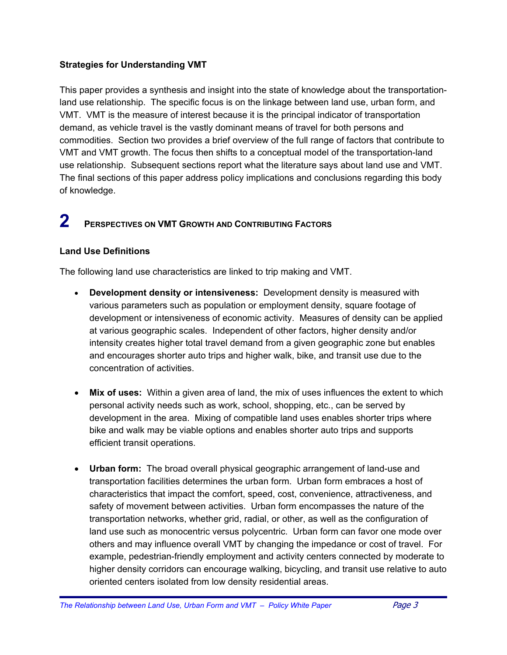#### **Strategies for Understanding VMT**

This paper provides a synthesis and insight into the state of knowledge about the transportationland use relationship. The specific focus is on the linkage between land use, urban form, and VMT. VMT is the measure of interest because it is the principal indicator of transportation demand, as vehicle travel is the vastly dominant means of travel for both persons and commodities. Section two provides a brief overview of the full range of factors that contribute to VMT and VMT growth. The focus then shifts to a conceptual model of the transportation-land use relationship. Subsequent sections report what the literature says about land use and VMT. The final sections of this paper address policy implications and conclusions regarding this body of knowledge.

## **2 PERSPECTIVES ON VMT GROWTH AND CONTRIBUTING FACTORS**

#### **Land Use Definitions**

The following land use characteristics are linked to trip making and VMT.

- **Development density or intensiveness:** Development density is measured with various parameters such as population or employment density, square footage of development or intensiveness of economic activity. Measures of density can be applied at various geographic scales. Independent of other factors, higher density and/or intensity creates higher total travel demand from a given geographic zone but enables and encourages shorter auto trips and higher walk, bike, and transit use due to the concentration of activities.
- **Mix of uses:** Within a given area of land, the mix of uses influences the extent to which personal activity needs such as work, school, shopping, etc., can be served by development in the area. Mixing of compatible land uses enables shorter trips where bike and walk may be viable options and enables shorter auto trips and supports efficient transit operations.
- **Urban form:** The broad overall physical geographic arrangement of land-use and transportation facilities determines the urban form. Urban form embraces a host of characteristics that impact the comfort, speed, cost, convenience, attractiveness, and safety of movement between activities. Urban form encompasses the nature of the transportation networks, whether grid, radial, or other, as well as the configuration of land use such as monocentric versus polycentric. Urban form can favor one mode over others and may influence overall VMT by changing the impedance or cost of travel. For example, pedestrian-friendly employment and activity centers connected by moderate to higher density corridors can encourage walking, bicycling, and transit use relative to auto oriented centers isolated from low density residential areas.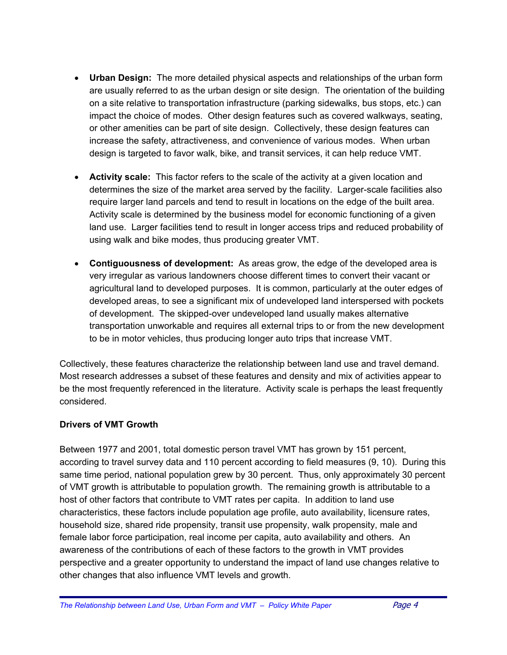- **Urban Design:** The more detailed physical aspects and relationships of the urban form are usually referred to as the urban design or site design. The orientation of the building on a site relative to transportation infrastructure (parking sidewalks, bus stops, etc.) can impact the choice of modes. Other design features such as covered walkways, seating, or other amenities can be part of site design. Collectively, these design features can increase the safety, attractiveness, and convenience of various modes. When urban design is targeted to favor walk, bike, and transit services, it can help reduce VMT.
- **Activity scale:** This factor refers to the scale of the activity at a given location and determines the size of the market area served by the facility. Larger-scale facilities also require larger land parcels and tend to result in locations on the edge of the built area. Activity scale is determined by the business model for economic functioning of a given land use. Larger facilities tend to result in longer access trips and reduced probability of using walk and bike modes, thus producing greater VMT.
- **Contiguousness of development:** As areas grow, the edge of the developed area is very irregular as various landowners choose different times to convert their vacant or agricultural land to developed purposes. It is common, particularly at the outer edges of developed areas, to see a significant mix of undeveloped land interspersed with pockets of development. The skipped-over undeveloped land usually makes alternative transportation unworkable and requires all external trips to or from the new development to be in motor vehicles, thus producing longer auto trips that increase VMT.

Collectively, these features characterize the relationship between land use and travel demand. Most research addresses a subset of these features and density and mix of activities appear to be the most frequently referenced in the literature. Activity scale is perhaps the least frequently considered.

#### **Drivers of VMT Growth**

Between 1977 and 2001, total domestic person travel VMT has grown by 151 percent, according to travel survey data and 110 percent according to field measures (9, 10). During this same time period, national population grew by 30 percent. Thus, only approximately 30 percent of VMT growth is attributable to population growth. The remaining growth is attributable to a host of other factors that contribute to VMT rates per capita. In addition to land use characteristics, these factors include population age profile, auto availability, licensure rates, household size, shared ride propensity, transit use propensity, walk propensity, male and female labor force participation, real income per capita, auto availability and others. An awareness of the contributions of each of these factors to the growth in VMT provides perspective and a greater opportunity to understand the impact of land use changes relative to other changes that also influence VMT levels and growth.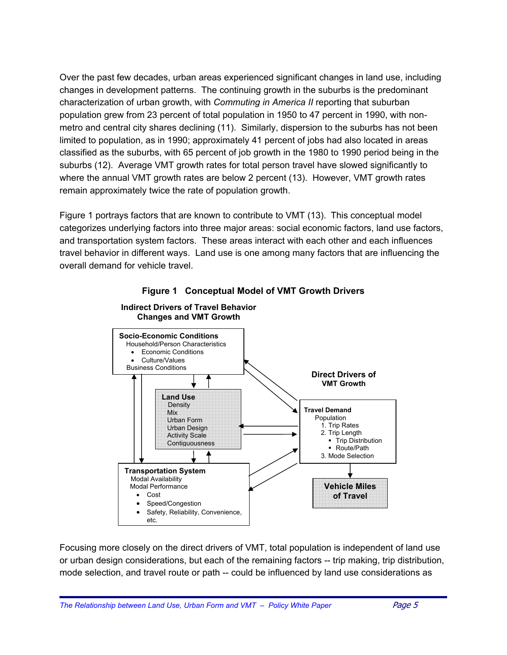Over the past few decades, urban areas experienced significant changes in land use, including changes in development patterns. The continuing growth in the suburbs is the predominant characterization of urban growth, with *Commuting in America II* reporting that suburban population grew from 23 percent of total population in 1950 to 47 percent in 1990, with nonmetro and central city shares declining (11). Similarly, dispersion to the suburbs has not been limited to population, as in 1990; approximately 41 percent of jobs had also located in areas classified as the suburbs, with 65 percent of job growth in the 1980 to 1990 period being in the suburbs (12). Average VMT growth rates for total person travel have slowed significantly to where the annual VMT growth rates are below 2 percent (13). However, VMT growth rates remain approximately twice the rate of population growth.

Figure 1 portrays factors that are known to contribute to VMT (13).This conceptual model categorizes underlying factors into three major areas: social economic factors, land use factors, and transportation system factors. These areas interact with each other and each influences travel behavior in different ways. Land use is one among many factors that are influencing the overall demand for vehicle travel.





Focusing more closely on the direct drivers of VMT, total population is independent of land use or urban design considerations, but each of the remaining factors -- trip making, trip distribution, mode selection, and travel route or path -- could be influenced by land use considerations as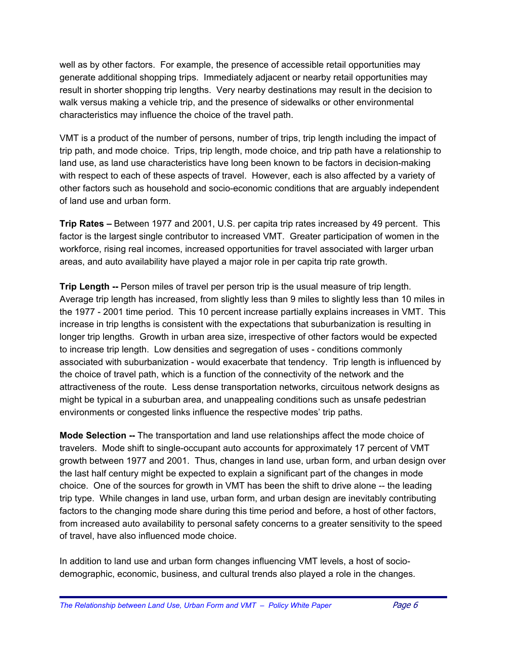well as by other factors. For example, the presence of accessible retail opportunities may generate additional shopping trips. Immediately adjacent or nearby retail opportunities may result in shorter shopping trip lengths. Very nearby destinations may result in the decision to walk versus making a vehicle trip, and the presence of sidewalks or other environmental characteristics may influence the choice of the travel path.

VMT is a product of the number of persons, number of trips, trip length including the impact of trip path, and mode choice. Trips, trip length, mode choice, and trip path have a relationship to land use, as land use characteristics have long been known to be factors in decision-making with respect to each of these aspects of travel. However, each is also affected by a variety of other factors such as household and socio-economic conditions that are arguably independent of land use and urban form.

**Trip Rates –** Between 1977 and 2001, U.S. per capita trip rates increased by 49 percent. This factor is the largest single contributor to increased VMT. Greater participation of women in the workforce, rising real incomes, increased opportunities for travel associated with larger urban areas, and auto availability have played a major role in per capita trip rate growth.

**Trip Length --** Person miles of travel per person trip is the usual measure of trip length. Average trip length has increased, from slightly less than 9 miles to slightly less than 10 miles in the 1977 - 2001 time period. This 10 percent increase partially explains increases in VMT. This increase in trip lengths is consistent with the expectations that suburbanization is resulting in longer trip lengths. Growth in urban area size, irrespective of other factors would be expected to increase trip length. Low densities and segregation of uses - conditions commonly associated with suburbanization - would exacerbate that tendency.Trip length is influenced by the choice of travel path, which is a function of the connectivity of the network and the attractiveness of the route. Less dense transportation networks, circuitous network designs as might be typical in a suburban area, and unappealing conditions such as unsafe pedestrian environments or congested links influence the respective modes' trip paths.

**Mode Selection --** The transportation and land use relationships affect the mode choice of travelers. Mode shift to single-occupant auto accounts for approximately 17 percent of VMT growth between 1977 and 2001. Thus, changes in land use, urban form, and urban design over the last half century might be expected to explain a significant part of the changes in mode choice. One of the sources for growth in VMT has been the shift to drive alone -- the leading trip type. While changes in land use, urban form, and urban design are inevitably contributing factors to the changing mode share during this time period and before, a host of other factors, from increased auto availability to personal safety concerns to a greater sensitivity to the speed of travel, have also influenced mode choice.

In addition to land use and urban form changes influencing VMT levels, a host of sociodemographic, economic, business, and cultural trends also played a role in the changes.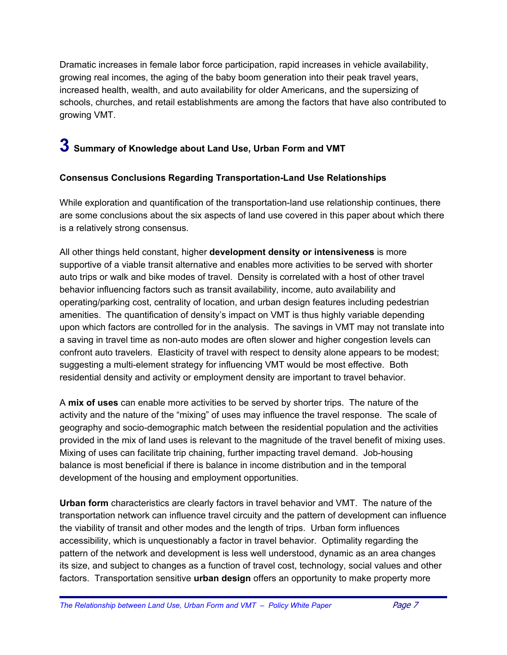Dramatic increases in female labor force participation, rapid increases in vehicle availability, growing real incomes, the aging of the baby boom generation into their peak travel years, increased health, wealth, and auto availability for older Americans, and the supersizing of schools, churches, and retail establishments are among the factors that have also contributed to growing VMT.

### **3 Summary of Knowledge about Land Use, Urban Form and VMT**

#### **Consensus Conclusions Regarding Transportation-Land Use Relationships**

While exploration and quantification of the transportation-land use relationship continues, there are some conclusions about the six aspects of land use covered in this paper about which there is a relatively strong consensus.

All other things held constant, higher **development density or intensiveness** is more supportive of a viable transit alternative and enables more activities to be served with shorter auto trips or walk and bike modes of travel. Density is correlated with a host of other travel behavior influencing factors such as transit availability, income, auto availability and operating/parking cost, centrality of location, and urban design features including pedestrian amenities. The quantification of density's impact on VMT is thus highly variable depending upon which factors are controlled for in the analysis. The savings in VMT may not translate into a saving in travel time as non-auto modes are often slower and higher congestion levels can confront auto travelers. Elasticity of travel with respect to density alone appears to be modest; suggesting a multi-element strategy for influencing VMT would be most effective. Both residential density and activity or employment density are important to travel behavior.

A **mix of uses** can enable more activities to be served by shorter trips. The nature of the activity and the nature of the "mixing" of uses may influence the travel response. The scale of geography and socio-demographic match between the residential population and the activities provided in the mix of land uses is relevant to the magnitude of the travel benefit of mixing uses. Mixing of uses can facilitate trip chaining, further impacting travel demand. Job-housing balance is most beneficial if there is balance in income distribution and in the temporal development of the housing and employment opportunities.

**Urban form** characteristics are clearly factors in travel behavior and VMT. The nature of the transportation network can influence travel circuity and the pattern of development can influence the viability of transit and other modes and the length of trips. Urban form influences accessibility, which is unquestionably a factor in travel behavior. Optimality regarding the pattern of the network and development is less well understood, dynamic as an area changes its size, and subject to changes as a function of travel cost, technology, social values and other factors. Transportation sensitive **urban design** offers an opportunity to make property more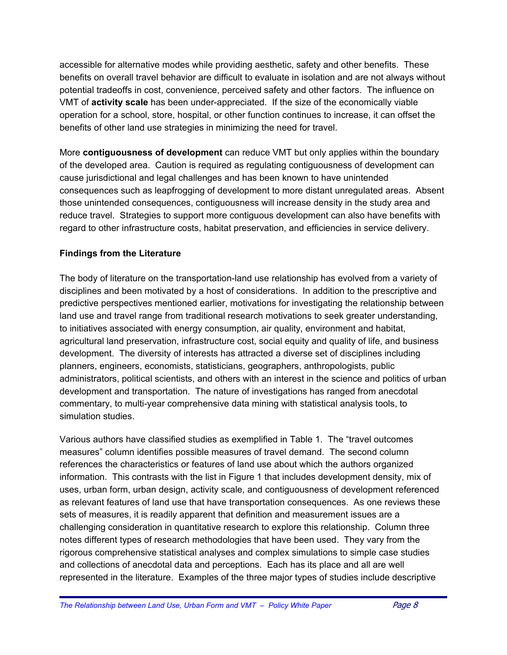accessible for alternative modes while providing aesthetic, safety and other benefits. These benefits on overall travel behavior are difficult to evaluate in isolation and are not always without potential tradeoffs in cost, convenience, perceived safety and other factors. The influence on VMT of **activity scale** has been under-appreciated. If the size of the economically viable operation for a school, store, hospital, or other function continues to increase, it can offset the benefits of other land use strategies in minimizing the need for travel.

More **contiguousness of development** can reduce VMT but only applies within the boundary of the developed area.Caution is required as regulating contiguousness of development can cause jurisdictional and legal challenges and has been known to have unintended consequences such as leapfrogging of development to more distant unregulated areas. Absent those unintended consequences, contiguousness will increase density in the study area and reduce travel. Strategies to support more contiguous development can also have benefits with regard to other infrastructure costs, habitat preservation, and efficiencies in service delivery.

#### **Findings from the Literature**

The body of literature on the transportation-land use relationship has evolved from a variety of disciplines and been motivated by a host of considerations. In addition to the prescriptive and predictive perspectives mentioned earlier, motivations for investigating the relationship between land use and travel range from traditional research motivations to seek greater understanding, to initiatives associated with energy consumption, air quality, environment and habitat, agricultural land preservation, infrastructure cost, social equity and quality of life, and business development. The diversity of interests has attracted a diverse set of disciplines including planners, engineers, economists, statisticians, geographers, anthropologists, public administrators, political scientists, and others with an interest in the science and politics of urban development and transportation. The nature of investigations has ranged from anecdotal commentary, to multi-year comprehensive data mining with statistical analysis tools, to simulation studies.

Various authors have classified studies as exemplified in Table 1. The "travel outcomes measures" column identifies possible measures of travel demand. The second column references the characteristics or features of land use about which the authors organized information. This contrasts with the list in Figure 1 that includes development density, mix of uses, urban form, urban design, activity scale, and contiguousness of development referenced as relevant features of land use that have transportation consequences. As one reviews these sets of measures, it is readily apparent that definition and measurement issues are a challenging consideration in quantitative research to explore this relationship. Column three notes different types of research methodologies that have been used. They vary from the rigorous comprehensive statistical analyses and complex simulations to simple case studies and collections of anecdotal data and perceptions. Each has its place and all are well represented in the literature. Examples of the three major types of studies include descriptive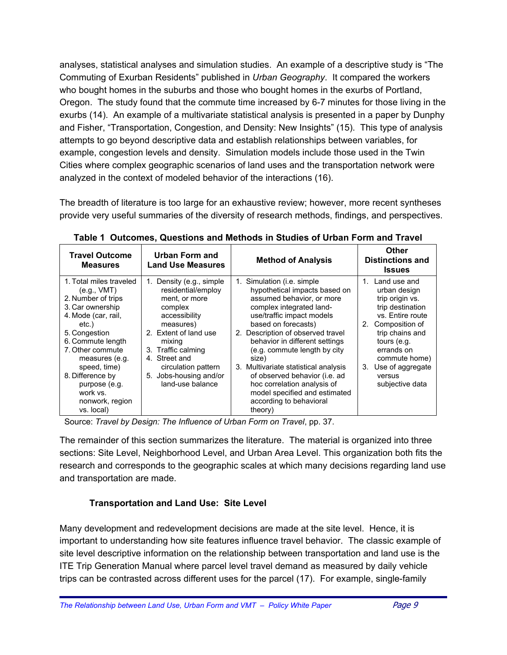analyses, statistical analyses and simulation studies. An example of a descriptive study is "The Commuting of Exurban Residents" published in *Urban Geography*. It compared the workers who bought homes in the suburbs and those who bought homes in the exurbs of Portland, Oregon. The study found that the commute time increased by 6-7 minutes for those living in the exurbs (14). An example of a multivariate statistical analysis is presented in a paper by Dunphy and Fisher, "Transportation, Congestion, and Density: New Insights" (15). This type of analysis attempts to go beyond descriptive data and establish relationships between variables, for example, congestion levels and density. Simulation models include those used in the Twin Cities where complex geographic scenarios of land uses and the transportation network were analyzed in the context of modeled behavior of the interactions (16).

The breadth of literature is too large for an exhaustive review; however, more recent syntheses provide very useful summaries of the diversity of research methods, findings, and perspectives.

| <b>Travel Outcome</b><br><b>Measures</b>                                                                                                                                                                                                                                                       | Urban Form and<br><b>Land Use Measures</b>                                                                                                                                                                                                                 | <b>Method of Analysis</b>                                                                                                                                                                                                                                                                                                                                                                                                                                               | Other<br><b>Distinctions and</b><br><b>Issues</b>                                                                                                                                                                                                      |
|------------------------------------------------------------------------------------------------------------------------------------------------------------------------------------------------------------------------------------------------------------------------------------------------|------------------------------------------------------------------------------------------------------------------------------------------------------------------------------------------------------------------------------------------------------------|-------------------------------------------------------------------------------------------------------------------------------------------------------------------------------------------------------------------------------------------------------------------------------------------------------------------------------------------------------------------------------------------------------------------------------------------------------------------------|--------------------------------------------------------------------------------------------------------------------------------------------------------------------------------------------------------------------------------------------------------|
| 1. Total miles traveled<br>(e.g., VMT)<br>2. Number of trips<br>3. Car ownership<br>4. Mode (car, rail,<br>etc.)<br>5. Congestion<br>6. Commute length<br>7. Other commute<br>measures (e.g.<br>speed, time)<br>8. Difference by<br>purpose (e.g.<br>work vs.<br>nonwork, region<br>vs. local) | Density (e.g., simple<br>1.<br>residential/employ<br>ment, or more<br>complex<br>accessibility<br>measures)<br>2. Extent of land use<br>mixing<br>3. Traffic calming<br>4. Street and<br>circulation pattern<br>5. Jobs-housing and/or<br>land-use balance | 1. Simulation (i.e. simple<br>hypothetical impacts based on<br>assumed behavior, or more<br>complex integrated land-<br>use/traffic impact models<br>based on forecasts)<br>2. Description of observed travel<br>behavior in different settings<br>(e.g. commute length by city<br>size)<br>3. Multivariate statistical analysis<br>of observed behavior (i.e. ad<br>hoc correlation analysis of<br>model specified and estimated<br>according to behavioral<br>theory) | 1. Land use and<br>urban design<br>trip origin vs.<br>trip destination<br>vs. Entire route<br>Composition of<br>2 <sub>1</sub><br>trip chains and<br>tours (e.g.<br>errands on<br>commute home)<br>Use of aggregate<br>3.<br>versus<br>subjective data |

**Table 1 Outcomes, Questions and Methods in Studies of Urban Form and Travel** 

Source: *Travel by Design: The Influence of Urban Form on Travel*, pp. 37.

The remainder of this section summarizes the literature. The material is organized into three sections: Site Level, Neighborhood Level, and Urban Area Level. This organization both fits the research and corresponds to the geographic scales at which many decisions regarding land use and transportation are made.

### **Transportation and Land Use: Site Level**

Many development and redevelopment decisions are made at the site level. Hence, it is important to understanding how site features influence travel behavior. The classic example of site level descriptive information on the relationship between transportation and land use is the ITE Trip Generation Manual where parcel level travel demand as measured by daily vehicle trips can be contrasted across different uses for the parcel (17). For example, single-family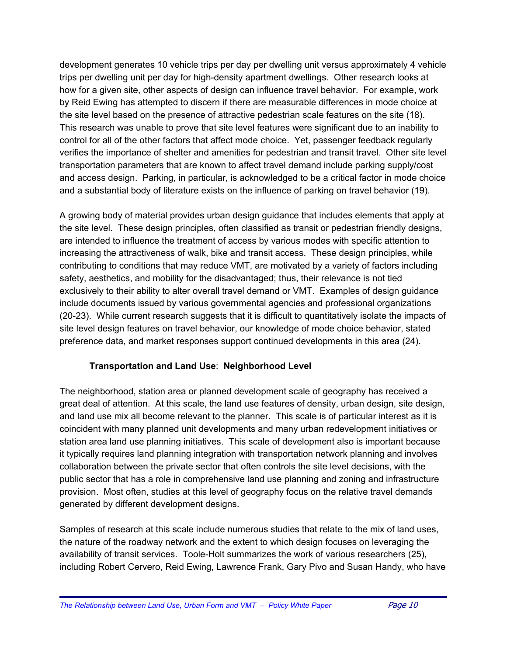development generates 10 vehicle trips per day per dwelling unit versus approximately 4 vehicle trips per dwelling unit per day for high-density apartment dwellings. Other research looks at how for a given site, other aspects of design can influence travel behavior. For example, work by Reid Ewing has attempted to discern if there are measurable differences in mode choice at the site level based on the presence of attractive pedestrian scale features on the site (18). This research was unable to prove that site level features were significant due to an inability to control for all of the other factors that affect mode choice. Yet, passenger feedback regularly verifies the importance of shelter and amenities for pedestrian and transit travel. Other site level transportation parameters that are known to affect travel demand include parking supply/cost and access design. Parking, in particular, is acknowledged to be a critical factor in mode choice and a substantial body of literature exists on the influence of parking on travel behavior (19).

A growing body of material provides urban design guidance that includes elements that apply at the site level. These design principles, often classified as transit or pedestrian friendly designs, are intended to influence the treatment of access by various modes with specific attention to increasing the attractiveness of walk, bike and transit access. These design principles, while contributing to conditions that may reduce VMT, are motivated by a variety of factors including safety, aesthetics, and mobility for the disadvantaged; thus, their relevance is not tied exclusively to their ability to alter overall travel demand or VMT. Examples of design guidance include documents issued by various governmental agencies and professional organizations (20-23). While current research suggests that it is difficult to quantitatively isolate the impacts of site level design features on travel behavior, our knowledge of mode choice behavior, stated preference data, and market responses support continued developments in this area (24).

#### **Transportation and Land Use**: **Neighborhood Level**

The neighborhood, station area or planned development scale of geography has received a great deal of attention. At this scale, the land use features of density, urban design, site design, and land use mix all become relevant to the planner. This scale is of particular interest as it is coincident with many planned unit developments and many urban redevelopment initiatives or station area land use planning initiatives. This scale of development also is important because it typically requires land planning integration with transportation network planning and involves collaboration between the private sector that often controls the site level decisions, with the public sector that has a role in comprehensive land use planning and zoning and infrastructure provision. Most often, studies at this level of geography focus on the relative travel demands generated by different development designs.

Samples of research at this scale include numerous studies that relate to the mix of land uses, the nature of the roadway network and the extent to which design focuses on leveraging the availability of transit services. Toole-Holt summarizes the work of various researchers (25), including Robert Cervero, Reid Ewing, Lawrence Frank, Gary Pivo and Susan Handy, who have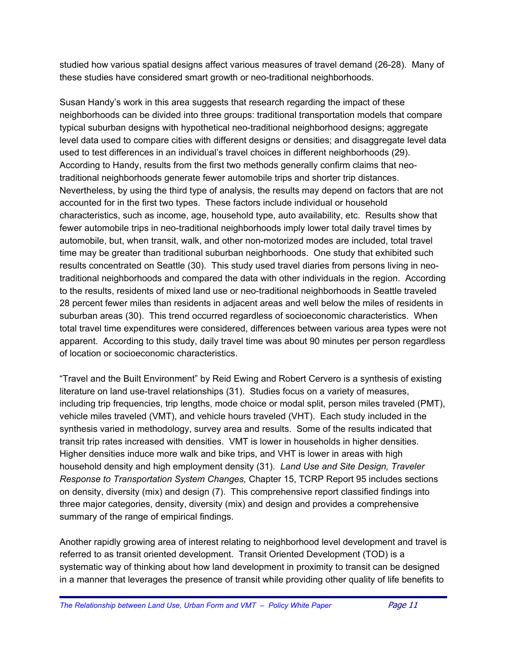studied how various spatial designs affect various measures of travel demand (26-28). Many of these studies have considered smart growth or neo-traditional neighborhoods.

Susan Handy's work in this area suggests that research regarding the impact of these neighborhoods can be divided into three groups: traditional transportation models that compare typical suburban designs with hypothetical neo-traditional neighborhood designs; aggregate level data used to compare cities with different designs or densities; and disaggregate level data used to test differences in an individual's travel choices in different neighborhoods (29). According to Handy, results from the first two methods generally confirm claims that neotraditional neighborhoods generate fewer automobile trips and shorter trip distances. Nevertheless, by using the third type of analysis, the results may depend on factors that are not accounted for in the first two types. These factors include individual or household characteristics, such as income, age, household type, auto availability, etc. Results show that fewer automobile trips in neo-traditional neighborhoods imply lower total daily travel times by automobile, but, when transit, walk, and other non-motorized modes are included, total travel time may be greater than traditional suburban neighborhoods. One study that exhibited such results concentrated on Seattle (30). This study used travel diaries from persons living in neotraditional neighborhoods and compared the data with other individuals in the region. According to the results, residents of mixed land use or neo-traditional neighborhoods in Seattle traveled 28 percent fewer miles than residents in adjacent areas and well below the miles of residents in suburban areas (30). This trend occurred regardless of socioeconomic characteristics. When total travel time expenditures were considered, differences between various area types were not apparent. According to this study, daily travel time was about 90 minutes per person regardless of location or socioeconomic characteristics.

"Travel and the Built Environment" by Reid Ewing and Robert Cervero is a synthesis of existing literature on land use-travel relationships (31). Studies focus on a variety of measures, including trip frequencies, trip lengths, mode choice or modal split, person miles traveled (PMT), vehicle miles traveled (VMT), and vehicle hours traveled (VHT). Each study included in the synthesis varied in methodology, survey area and results. Some of the results indicated that transit trip rates increased with densities. VMT is lower in households in higher densities. Higher densities induce more walk and bike trips, and VHT is lower in areas with high household density and high employment density (31). *Land Use and Site Design, Traveler Response to Transportation System Changes,* Chapter 15, TCRP Report 95 includes sections on density, diversity (mix) and design (7). This comprehensive report classified findings into three major categories, density, diversity (mix) and design and provides a comprehensive summary of the range of empirical findings.

Another rapidly growing area of interest relating to neighborhood level development and travel is referred to as transit oriented development. Transit Oriented Development (TOD) is a systematic way of thinking about how land development in proximity to transit can be designed in a manner that leverages the presence of transit while providing other quality of life benefits to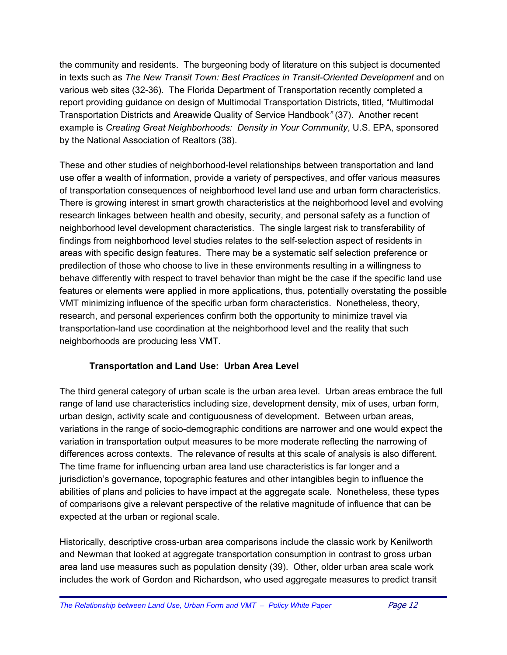the community and residents. The burgeoning body of literature on this subject is documented in texts such as *The New Transit Town: Best Practices in Transit-Oriented Development* and on various web sites (32-36). The Florida Department of Transportation recently completed a report providing guidance on design of Multimodal Transportation Districts, titled, "Multimodal Transportation Districts and Areawide Quality of Service Handbook*"* (37). Another recent example is *Creating Great Neighborhoods: Density in Your Community*, U.S. EPA, sponsored by the National Association of Realtors (38).

These and other studies of neighborhood-level relationships between transportation and land use offer a wealth of information, provide a variety of perspectives, and offer various measures of transportation consequences of neighborhood level land use and urban form characteristics. There is growing interest in smart growth characteristics at the neighborhood level and evolving research linkages between health and obesity, security, and personal safety as a function of neighborhood level development characteristics. The single largest risk to transferability of findings from neighborhood level studies relates to the self-selection aspect of residents in areas with specific design features. There may be a systematic self selection preference or predilection of those who choose to live in these environments resulting in a willingness to behave differently with respect to travel behavior than might be the case if the specific land use features or elements were applied in more applications, thus, potentially overstating the possible VMT minimizing influence of the specific urban form characteristics. Nonetheless, theory, research, and personal experiences confirm both the opportunity to minimize travel via transportation-land use coordination at the neighborhood level and the reality that such neighborhoods are producing less VMT.

#### **Transportation and Land Use: Urban Area Level**

The third general category of urban scale is the urban area level. Urban areas embrace the full range of land use characteristics including size, development density, mix of uses, urban form, urban design, activity scale and contiguousness of development. Between urban areas, variations in the range of socio-demographic conditions are narrower and one would expect the variation in transportation output measures to be more moderate reflecting the narrowing of differences across contexts. The relevance of results at this scale of analysis is also different. The time frame for influencing urban area land use characteristics is far longer and a jurisdiction's governance, topographic features and other intangibles begin to influence the abilities of plans and policies to have impact at the aggregate scale. Nonetheless, these types of comparisons give a relevant perspective of the relative magnitude of influence that can be expected at the urban or regional scale.

Historically, descriptive cross-urban area comparisons include the classic work by Kenilworth and Newman that looked at aggregate transportation consumption in contrast to gross urban area land use measures such as population density (39). Other, older urban area scale work includes the work of Gordon and Richardson, who used aggregate measures to predict transit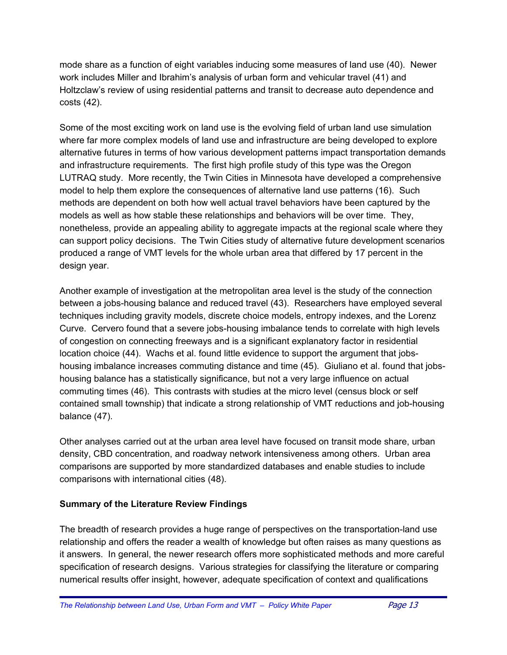mode share as a function of eight variables inducing some measures of land use (40). Newer work includes Miller and Ibrahim's analysis of urban form and vehicular travel (41) and Holtzclaw's review of using residential patterns and transit to decrease auto dependence and costs (42).

Some of the most exciting work on land use is the evolving field of urban land use simulation where far more complex models of land use and infrastructure are being developed to explore alternative futures in terms of how various development patterns impact transportation demands and infrastructure requirements. The first high profile study of this type was the Oregon LUTRAQ study. More recently, the Twin Cities in Minnesota have developed a comprehensive model to help them explore the consequences of alternative land use patterns (16). Such methods are dependent on both how well actual travel behaviors have been captured by the models as well as how stable these relationships and behaviors will be over time. They, nonetheless, provide an appealing ability to aggregate impacts at the regional scale where they can support policy decisions. The Twin Cities study of alternative future development scenarios produced a range of VMT levels for the whole urban area that differed by 17 percent in the design year.

Another example of investigation at the metropolitan area level is the study of the connection between a jobs-housing balance and reduced travel (43). Researchers have employed several techniques including gravity models, discrete choice models, entropy indexes, and the Lorenz Curve. Cervero found that a severe jobs-housing imbalance tends to correlate with high levels of congestion on connecting freeways and is a significant explanatory factor in residential location choice (44). Wachs et al. found little evidence to support the argument that jobshousing imbalance increases commuting distance and time (45). Giuliano et al. found that jobshousing balance has a statistically significance, but not a very large influence on actual commuting times (46). This contrasts with studies at the micro level (census block or self contained small township) that indicate a strong relationship of VMT reductions and job-housing balance (47).

Other analyses carried out at the urban area level have focused on transit mode share, urban density, CBD concentration, and roadway network intensiveness among others. Urban area comparisons are supported by more standardized databases and enable studies to include comparisons with international cities (48).

#### **Summary of the Literature Review Findings**

The breadth of research provides a huge range of perspectives on the transportation-land use relationship and offers the reader a wealth of knowledge but often raises as many questions as it answers. In general, the newer research offers more sophisticated methods and more careful specification of research designs. Various strategies for classifying the literature or comparing numerical results offer insight, however, adequate specification of context and qualifications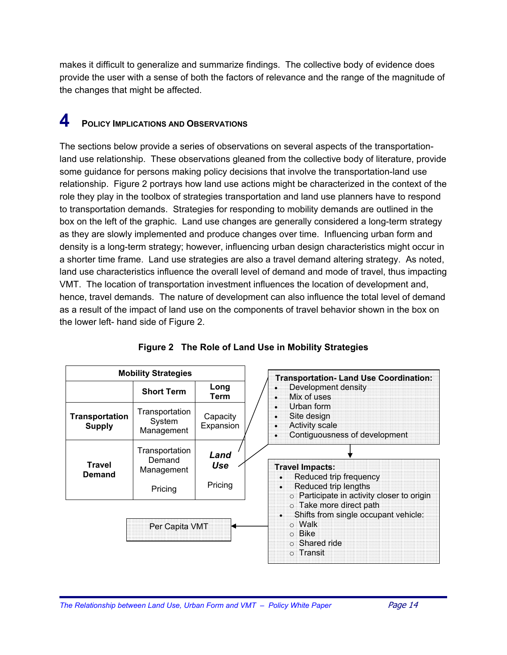makes it difficult to generalize and summarize findings. The collective body of evidence does provide the user with a sense of both the factors of relevance and the range of the magnitude of the changes that might be affected.

## **4** POLICY IMPLICATIONS AND OBSERVATIONS

The sections below provide a series of observations on several aspects of the transportationland use relationship. These observations gleaned from the collective body of literature, provide some guidance for persons making policy decisions that involve the transportation-land use relationship.Figure 2 portrays how land use actions might be characterized in the context of the role they play in the toolbox of strategies transportation and land use planners have to respond to transportation demands. Strategies for responding to mobility demands are outlined in the box on the left of the graphic. Land use changes are generally considered a long-term strategy as they are slowly implemented and produce changes over time. Influencing urban form and density is a long-term strategy; however, influencing urban design characteristics might occur in a shorter time frame. Land use strategies are also a travel demand altering strategy. As noted, land use characteristics influence the overall level of demand and mode of travel, thus impacting VMT. The location of transportation investment influences the location of development and, hence, travel demands. The nature of development can also influence the total level of demand as a result of the impact of land use on the components of travel behavior shown in the box on the lower left- hand side of Figure 2.

| <b>Mobility Strategies</b>             |                                                   |                        | <b>Transportation- Land Use Coordination:</b>                                                                                             |  |
|----------------------------------------|---------------------------------------------------|------------------------|-------------------------------------------------------------------------------------------------------------------------------------------|--|
|                                        | <b>Short Term</b>                                 | Long<br><b>Term</b>    | Development density<br>Mix of uses                                                                                                        |  |
| <b>Transportation</b><br><b>Supply</b> | Transportation<br>System<br>Management            | Capacity<br>Expansion  | Urban form<br>Site design<br><b>Activity scale</b><br>Contiguousness of development                                                       |  |
| <b>Travel</b><br><b>Demand</b>         | Transportation<br>Demand<br>Management<br>Pricing | Land<br>Use<br>Pricing | <b>Travel Impacts:</b><br>Reduced trip frequency<br>Reduced trip lengths<br>o Participate in activity closer to origin                    |  |
|                                        | Per Capita VMT                                    |                        | $\circ$ Take more direct path<br>Shifts from single occupant vehicle:<br>$\circ$ Walk<br>$\circ$ Bike<br>$\circ$ Shared ride<br>○ Transit |  |

**Figure 2 The Role of Land Use in Mobility Strategies**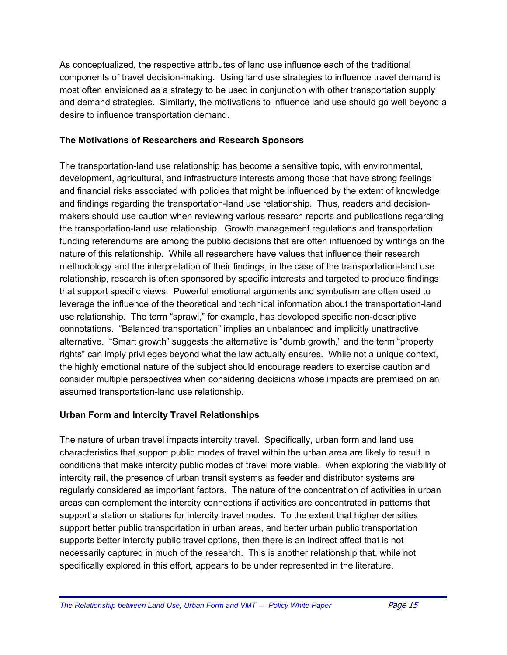As conceptualized, the respective attributes of land use influence each of the traditional components of travel decision-making. Using land use strategies to influence travel demand is most often envisioned as a strategy to be used in conjunction with other transportation supply and demand strategies. Similarly, the motivations to influence land use should go well beyond a desire to influence transportation demand.

#### **The Motivations of Researchers and Research Sponsors**

The transportation-land use relationship has become a sensitive topic, with environmental, development, agricultural, and infrastructure interests among those that have strong feelings and financial risks associated with policies that might be influenced by the extent of knowledge and findings regarding the transportation-land use relationship. Thus, readers and decisionmakers should use caution when reviewing various research reports and publications regarding the transportation-land use relationship. Growth management regulations and transportation funding referendums are among the public decisions that are often influenced by writings on the nature of this relationship. While all researchers have values that influence their research methodology and the interpretation of their findings, in the case of the transportation-land use relationship, research is often sponsored by specific interests and targeted to produce findings that support specific views. Powerful emotional arguments and symbolism are often used to leverage the influence of the theoretical and technical information about the transportation-land use relationship. The term "sprawl," for example, has developed specific non-descriptive connotations. "Balanced transportation" implies an unbalanced and implicitly unattractive alternative. "Smart growth" suggests the alternative is "dumb growth," and the term "property rights" can imply privileges beyond what the law actually ensures. While not a unique context, the highly emotional nature of the subject should encourage readers to exercise caution and consider multiple perspectives when considering decisions whose impacts are premised on an assumed transportation-land use relationship.

#### **Urban Form and Intercity Travel Relationships**

The nature of urban travel impacts intercity travel. Specifically, urban form and land use characteristics that support public modes of travel within the urban area are likely to result in conditions that make intercity public modes of travel more viable. When exploring the viability of intercity rail, the presence of urban transit systems as feeder and distributor systems are regularly considered as important factors. The nature of the concentration of activities in urban areas can complement the intercity connections if activities are concentrated in patterns that support a station or stations for intercity travel modes. To the extent that higher densities support better public transportation in urban areas, and better urban public transportation supports better intercity public travel options, then there is an indirect affect that is not necessarily captured in much of the research. This is another relationship that, while not specifically explored in this effort, appears to be under represented in the literature.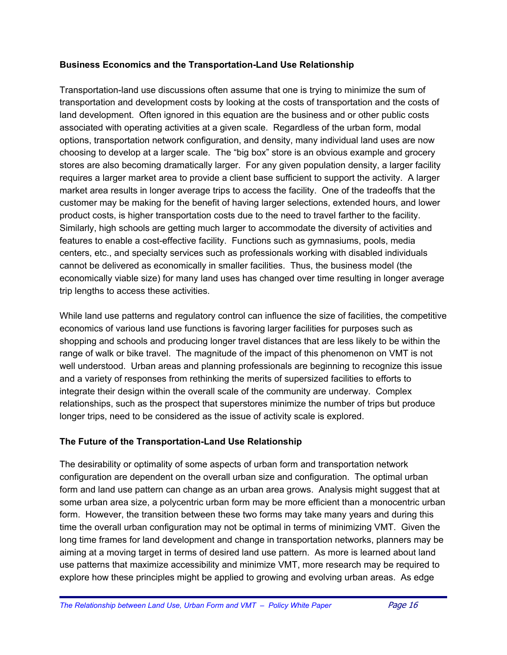#### **Business Economics and the Transportation-Land Use Relationship**

Transportation-land use discussions often assume that one is trying to minimize the sum of transportation and development costs by looking at the costs of transportation and the costs of land development. Often ignored in this equation are the business and or other public costs associated with operating activities at a given scale. Regardless of the urban form, modal options, transportation network configuration, and density, many individual land uses are now choosing to develop at a larger scale. The "big box" store is an obvious example and grocery stores are also becoming dramatically larger. For any given population density, a larger facility requires a larger market area to provide a client base sufficient to support the activity. A larger market area results in longer average trips to access the facility. One of the tradeoffs that the customer may be making for the benefit of having larger selections, extended hours, and lower product costs, is higher transportation costs due to the need to travel farther to the facility. Similarly, high schools are getting much larger to accommodate the diversity of activities and features to enable a cost-effective facility. Functions such as gymnasiums, pools, media centers, etc., and specialty services such as professionals working with disabled individuals cannot be delivered as economically in smaller facilities. Thus, the business model (the economically viable size) for many land uses has changed over time resulting in longer average trip lengths to access these activities.

While land use patterns and regulatory control can influence the size of facilities, the competitive economics of various land use functions is favoring larger facilities for purposes such as shopping and schools and producing longer travel distances that are less likely to be within the range of walk or bike travel. The magnitude of the impact of this phenomenon on VMT is not well understood. Urban areas and planning professionals are beginning to recognize this issue and a variety of responses from rethinking the merits of supersized facilities to efforts to integrate their design within the overall scale of the community are underway. Complex relationships, such as the prospect that superstores minimize the number of trips but produce longer trips, need to be considered as the issue of activity scale is explored.

#### **The Future of the Transportation-Land Use Relationship**

The desirability or optimality of some aspects of urban form and transportation network configuration are dependent on the overall urban size and configuration. The optimal urban form and land use pattern can change as an urban area grows. Analysis might suggest that at some urban area size, a polycentric urban form may be more efficient than a monocentric urban form. However, the transition between these two forms may take many years and during this time the overall urban configuration may not be optimal in terms of minimizing VMT. Given the long time frames for land development and change in transportation networks, planners may be aiming at a moving target in terms of desired land use pattern. As more is learned about land use patterns that maximize accessibility and minimize VMT, more research may be required to explore how these principles might be applied to growing and evolving urban areas. As edge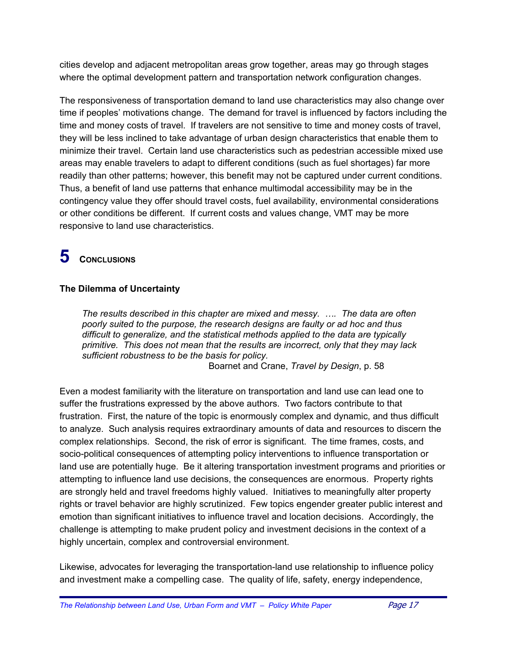cities develop and adjacent metropolitan areas grow together, areas may go through stages where the optimal development pattern and transportation network configuration changes.

The responsiveness of transportation demand to land use characteristics may also change over time if peoples' motivations change. The demand for travel is influenced by factors including the time and money costs of travel. If travelers are not sensitive to time and money costs of travel, they will be less inclined to take advantage of urban design characteristics that enable them to minimize their travel. Certain land use characteristics such as pedestrian accessible mixed use areas may enable travelers to adapt to different conditions (such as fuel shortages) far more readily than other patterns; however, this benefit may not be captured under current conditions. Thus, a benefit of land use patterns that enhance multimodal accessibility may be in the contingency value they offer should travel costs, fuel availability, environmental considerations or other conditions be different. If current costs and values change, VMT may be more responsive to land use characteristics.

## **5 CONCLUSIONS**

#### **The Dilemma of Uncertainty**

*The results described in this chapter are mixed and messy. …. The data are often poorly suited to the purpose, the research designs are faulty or ad hoc and thus difficult to generalize, and the statistical methods applied to the data are typically primitive. This does not mean that the results are incorrect, only that they may lack sufficient robustness to be the basis for policy.*  Boarnet and Crane, *Travel by Design*, p. 58

Even a modest familiarity with the literature on transportation and land use can lead one to suffer the frustrations expressed by the above authors. Two factors contribute to that frustration. First, the nature of the topic is enormously complex and dynamic, and thus difficult to analyze. Such analysis requires extraordinary amounts of data and resources to discern the complex relationships. Second, the risk of error is significant. The time frames, costs, and socio-political consequences of attempting policy interventions to influence transportation or land use are potentially huge. Be it altering transportation investment programs and priorities or attempting to influence land use decisions, the consequences are enormous. Property rights are strongly held and travel freedoms highly valued. Initiatives to meaningfully alter property rights or travel behavior are highly scrutinized. Few topics engender greater public interest and emotion than significant initiatives to influence travel and location decisions. Accordingly, the challenge is attempting to make prudent policy and investment decisions in the context of a highly uncertain, complex and controversial environment.

Likewise, advocates for leveraging the transportation-land use relationship to influence policy and investment make a compelling case. The quality of life, safety, energy independence,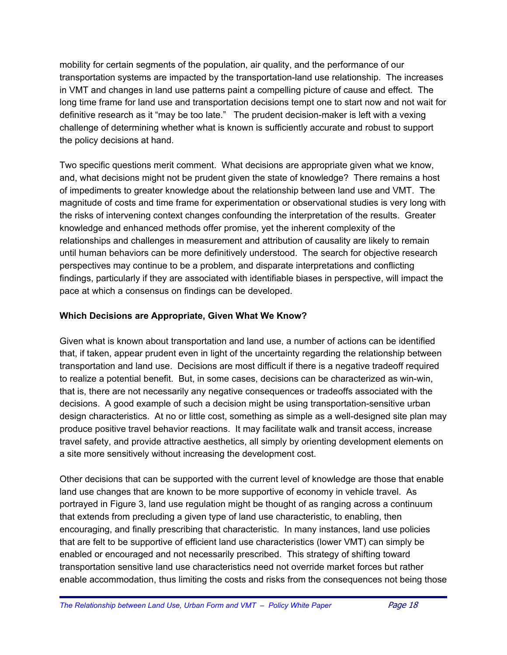mobility for certain segments of the population, air quality, and the performance of our transportation systems are impacted by the transportation-land use relationship. The increases in VMT and changes in land use patterns paint a compelling picture of cause and effect. The long time frame for land use and transportation decisions tempt one to start now and not wait for definitive research as it "may be too late." The prudent decision-maker is left with a vexing challenge of determining whether what is known is sufficiently accurate and robust to support the policy decisions at hand.

Two specific questions merit comment. What decisions are appropriate given what we know, and, what decisions might not be prudent given the state of knowledge? There remains a host of impediments to greater knowledge about the relationship between land use and VMT. The magnitude of costs and time frame for experimentation or observational studies is very long with the risks of intervening context changes confounding the interpretation of the results. Greater knowledge and enhanced methods offer promise, yet the inherent complexity of the relationships and challenges in measurement and attribution of causality are likely to remain until human behaviors can be more definitively understood. The search for objective research perspectives may continue to be a problem, and disparate interpretations and conflicting findings, particularly if they are associated with identifiable biases in perspective, will impact the pace at which a consensus on findings can be developed.

#### **Which Decisions are Appropriate, Given What We Know?**

Given what is known about transportation and land use, a number of actions can be identified that, if taken, appear prudent even in light of the uncertainty regarding the relationship between transportation and land use. Decisions are most difficult if there is a negative tradeoff required to realize a potential benefit. But, in some cases, decisions can be characterized as win-win, that is, there are not necessarily any negative consequences or tradeoffs associated with the decisions. A good example of such a decision might be using transportation-sensitive urban design characteristics. At no or little cost, something as simple as a well-designed site plan may produce positive travel behavior reactions. It may facilitate walk and transit access, increase travel safety, and provide attractive aesthetics, all simply by orienting development elements on a site more sensitively without increasing the development cost.

Other decisions that can be supported with the current level of knowledge are those that enable land use changes that are known to be more supportive of economy in vehicle travel. As portrayed in Figure 3, land use regulation might be thought of as ranging across a continuum that extends from precluding a given type of land use characteristic, to enabling, then encouraging, and finally prescribing that characteristic. In many instances, land use policies that are felt to be supportive of efficient land use characteristics (lower VMT) can simply be enabled or encouraged and not necessarily prescribed. This strategy of shifting toward transportation sensitive land use characteristics need not override market forces but rather enable accommodation, thus limiting the costs and risks from the consequences not being those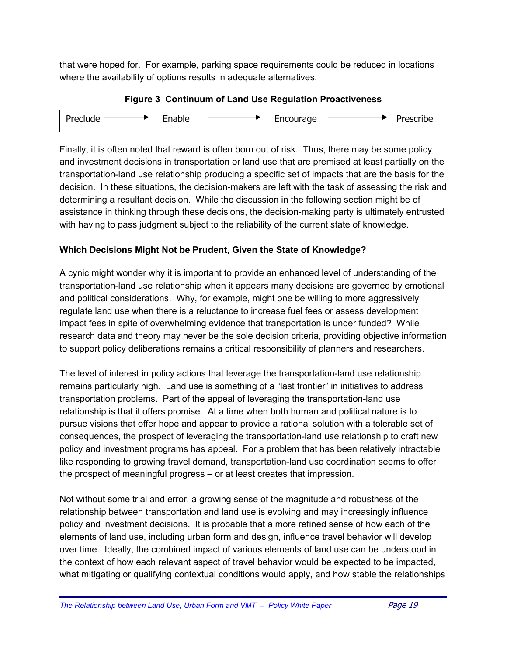that were hoped for. For example, parking space requirements could be reduced in locations where the availability of options results in adequate alternatives.

| -        |        |           |           |
|----------|--------|-----------|-----------|
| Preclude | Enable | Encourage | Prescribe |

**Figure 3 Continuum of Land Use Regulation Proactiveness** 

Finally, it is often noted that reward is often born out of risk. Thus, there may be some policy and investment decisions in transportation or land use that are premised at least partially on the transportation-land use relationship producing a specific set of impacts that are the basis for the decision. In these situations, the decision-makers are left with the task of assessing the risk and determining a resultant decision. While the discussion in the following section might be of assistance in thinking through these decisions, the decision-making party is ultimately entrusted with having to pass judgment subject to the reliability of the current state of knowledge.

#### **Which Decisions Might Not be Prudent, Given the State of Knowledge?**

A cynic might wonder why it is important to provide an enhanced level of understanding of the transportation-land use relationship when it appears many decisions are governed by emotional and political considerations. Why, for example, might one be willing to more aggressively regulate land use when there is a reluctance to increase fuel fees or assess development impact fees in spite of overwhelming evidence that transportation is under funded? While research data and theory may never be the sole decision criteria, providing objective information to support policy deliberations remains a critical responsibility of planners and researchers.

The level of interest in policy actions that leverage the transportation-land use relationship remains particularly high. Land use is something of a "last frontier" in initiatives to address transportation problems. Part of the appeal of leveraging the transportation-land use relationship is that it offers promise. At a time when both human and political nature is to pursue visions that offer hope and appear to provide a rational solution with a tolerable set of consequences, the prospect of leveraging the transportation-land use relationship to craft new policy and investment programs has appeal. For a problem that has been relatively intractable like responding to growing travel demand, transportation-land use coordination seems to offer the prospect of meaningful progress – or at least creates that impression.

Not without some trial and error, a growing sense of the magnitude and robustness of the relationship between transportation and land use is evolving and may increasingly influence policy and investment decisions. It is probable that a more refined sense of how each of the elements of land use, including urban form and design, influence travel behavior will develop over time. Ideally, the combined impact of various elements of land use can be understood in the context of how each relevant aspect of travel behavior would be expected to be impacted, what mitigating or qualifying contextual conditions would apply, and how stable the relationships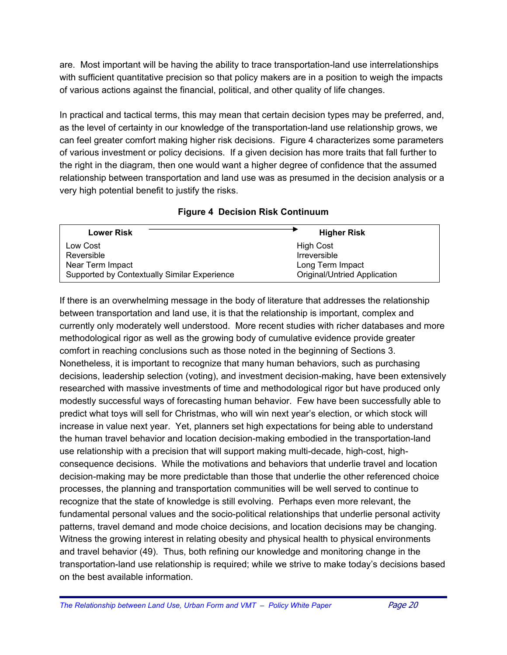are. Most important will be having the ability to trace transportation-land use interrelationships with sufficient quantitative precision so that policy makers are in a position to weigh the impacts of various actions against the financial, political, and other quality of life changes.

In practical and tactical terms, this may mean that certain decision types may be preferred, and, as the level of certainty in our knowledge of the transportation-land use relationship grows, we can feel greater comfort making higher risk decisions. Figure 4 characterizes some parameters of various investment or policy decisions. If a given decision has more traits that fall further to the right in the diagram, then one would want a higher degree of confidence that the assumed relationship between transportation and land use was as presumed in the decision analysis or a very high potential benefit to justify the risks.

| <b>Lower Risk</b>                            | <b>Higher Risk</b>           |
|----------------------------------------------|------------------------------|
| Low Cost                                     | High Cost                    |
| Reversible                                   | <b>Irreversible</b>          |
| Near Term Impact                             | Long Term Impact             |
| Supported by Contextually Similar Experience | Original/Untried Application |

#### **Figure 4 Decision Risk Continuum**

If there is an overwhelming message in the body of literature that addresses the relationship between transportation and land use, it is that the relationship is important, complex and currently only moderately well understood. More recent studies with richer databases and more methodological rigor as well as the growing body of cumulative evidence provide greater comfort in reaching conclusions such as those noted in the beginning of Sections 3. Nonetheless, it is important to recognize that many human behaviors, such as purchasing decisions, leadership selection (voting), and investment decision-making, have been extensively researched with massive investments of time and methodological rigor but have produced only modestly successful ways of forecasting human behavior. Few have been successfully able to predict what toys will sell for Christmas, who will win next year's election, or which stock will increase in value next year. Yet, planners set high expectations for being able to understand the human travel behavior and location decision-making embodied in the transportation-land use relationship with a precision that will support making multi-decade, high-cost, highconsequence decisions. While the motivations and behaviors that underlie travel and location decision-making may be more predictable than those that underlie the other referenced choice processes, the planning and transportation communities will be well served to continue to recognize that the state of knowledge is still evolving. Perhaps even more relevant, the fundamental personal values and the socio-political relationships that underlie personal activity patterns, travel demand and mode choice decisions, and location decisions may be changing. Witness the growing interest in relating obesity and physical health to physical environments and travel behavior (49). Thus, both refining our knowledge and monitoring change in the transportation-land use relationship is required; while we strive to make today's decisions based on the best available information.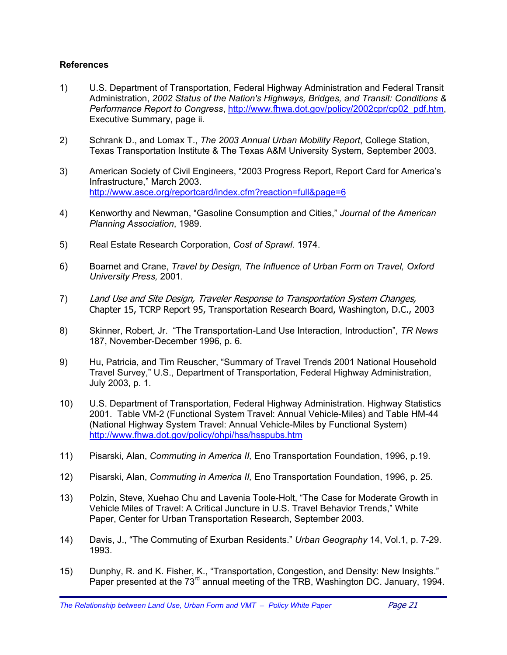#### **References**

- 1) U.S. Department of Transportation, Federal Highway Administration and Federal Transit Administration, *2002 Status of the Nation's Highways, Bridges, and Transit: Conditions & Performance Report to Congress*, [http://www.fhwa.dot.gov/policy/2002cpr/cp02\\_pdf.htm,](http://www.fhwa.dot.gov/policy/2002cpr/cp02_pdf.htm) Executive Summary, page ii.
- 2) Schrank D., and Lomax T., *The 2003 Annual Urban Mobility Report*, College Station, Texas Transportation Institute & The Texas A&M University System, September 2003.
- 3) American Society of Civil Engineers, "2003 Progress Report, Report Card for America's Infrastructure," March 2003. <http://www.asce.org/reportcard/index.cfm?reaction=full&page=6>
- 4) Kenworthy and Newman, "Gasoline Consumption and Cities," *Journal of the American Planning Association*, 1989.
- 5) Real Estate Research Corporation, *Cost of Sprawl*. 1974.
- 6) Boarnet and Crane, *Travel by Design, The Influence of Urban Form on Travel, Oxford University Press,* 2001.
- 7) Land Use and Site Design, Traveler Response to Transportation System Changes, Chapter 15, TCRP Report 95, Transportation Research Board, Washington, D.C., 2003
- 8) Skinner, Robert, Jr. "The Transportation-Land Use Interaction, Introduction", *TR News* 187, November-December 1996, p. 6.
- 9) Hu, Patricia, and Tim Reuscher, "Summary of Travel Trends 2001 National Household Travel Survey," U.S., Department of Transportation, Federal Highway Administration, July 2003, p. 1.
- 10) U.S. Department of Transportation, Federal Highway Administration. Highway Statistics 2001. Table VM-2 (Functional System Travel: Annual Vehicle-Miles) and Table HM-44 (National Highway System Travel: Annual Vehicle-Miles by Functional System) <http://www.fhwa.dot.gov/policy/ohpi/hss/hsspubs.htm>
- 11) Pisarski, Alan, *Commuting in America II,* Eno Transportation Foundation, 1996, p.19.
- 12) Pisarski, Alan, *Commuting in America II,* Eno Transportation Foundation, 1996, p. 25.
- 13) Polzin, Steve, Xuehao Chu and Lavenia Toole-Holt, "The Case for Moderate Growth in Vehicle Miles of Travel: A Critical Juncture in U.S. Travel Behavior Trends," White Paper, Center for Urban Transportation Research, September 2003.
- 14) Davis, J., "The Commuting of Exurban Residents." *Urban Geography* 14, Vol.1, p. 7-29. 1993.
- 15) Dunphy, R. and K. Fisher, K., "Transportation, Congestion, and Density: New Insights." Paper presented at the 73<sup>rd</sup> annual meeting of the TRB, Washington DC. January, 1994.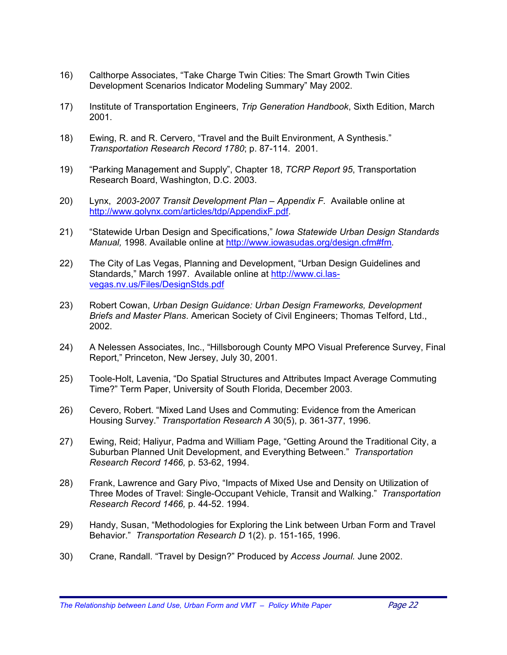- 16) Calthorpe Associates, "Take Charge Twin Cities: The Smart Growth Twin Cities Development Scenarios Indicator Modeling Summary" May 2002.
- 17) Institute of Transportation Engineers, *Trip Generation Handbook*, Sixth Edition, March 2001.
- 18) Ewing, R. and R. Cervero, "Travel and the Built Environment, A Synthesis." *Transportation Research Record 1780*; p. 87-114. 2001.
- 19) "Parking Management and Supply", Chapter 18, *TCRP Report 95*, Transportation Research Board, Washington, D.C. 2003.
- 20) Lynx, *2003-2007 Transit Development Plan Appendix F.* Available online at <http://www.golynx.com/articles/tdp/AppendixF.pdf>.
- 21) "Statewide Urban Design and Specifications," *Iowa Statewide Urban Design Standards Manual,* 1998*.* Available online at [http://www.iowasudas.org/design.cfm#fm](http://www.iowasudas.org/design.cfm)*.*
- 22) The City of Las Vegas, Planning and Development, "Urban Design Guidelines and Standards," March 1997. Available online at [http://www.ci.las](http://www.ci.las-vegas.nv.us/Files/DesignStds.pdf)[vegas.nv.us/Files/DesignStds.pdf](http://www.ci.las-vegas.nv.us/Files/DesignStds.pdf)
- 23) Robert Cowan, *Urban Design Guidance: Urban Design Frameworks, Development Briefs and Master Plans*. American Society of Civil Engineers; Thomas Telford, Ltd., 2002.
- 24) A Nelessen Associates, Inc., "Hillsborough County MPO Visual Preference Survey, Final Report," Princeton, New Jersey, July 30, 2001.
- 25) Toole-Holt, Lavenia, "Do Spatial Structures and Attributes Impact Average Commuting Time?" Term Paper, University of South Florida, December 2003.
- 26) Cevero, Robert. "Mixed Land Uses and Commuting: Evidence from the American Housing Survey." *Transportation Research A* 30(5), p. 361-377, 1996.
- 27) Ewing, Reid; Haliyur, Padma and William Page, "Getting Around the Traditional City, a Suburban Planned Unit Development, and Everything Between." *Transportation Research Record 1466,* p. 53-62, 1994.
- 28) Frank, Lawrence and Gary Pivo, "Impacts of Mixed Use and Density on Utilization of Three Modes of Travel: Single-Occupant Vehicle, Transit and Walking." *Transportation Research Record 1466,* p. 44-52. 1994.
- 29) Handy, Susan, "Methodologies for Exploring the Link between Urban Form and Travel Behavior." *Transportation Research D* 1(2). p. 151-165, 1996.
- 30) Crane, Randall. "Travel by Design?" Produced by *Access Journal.* June 2002.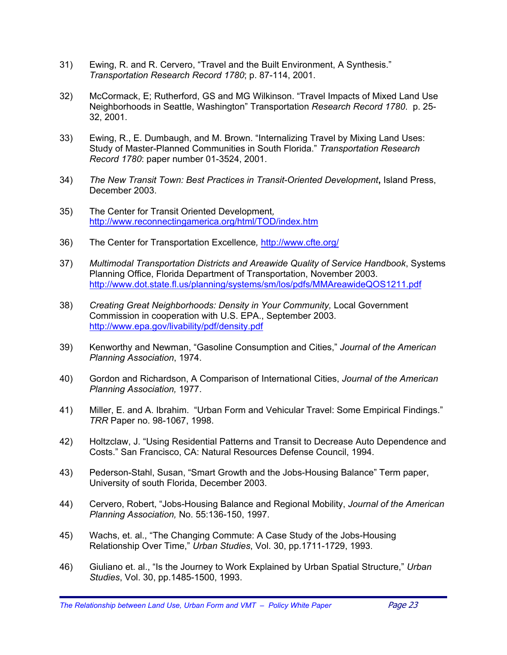- 31) Ewing, R. and R. Cervero, "Travel and the Built Environment, A Synthesis." *Transportation Research Record 1780*; p. 87-114, 2001.
- 32) McCormack, E; Rutherford, GS and MG Wilkinson. "Travel Impacts of Mixed Land Use Neighborhoods in Seattle, Washington" Transportation *Research Record 1780*. p. 25- 32, 2001.
- 33) Ewing, R., E. Dumbaugh, and M. Brown. "Internalizing Travel by Mixing Land Uses: Study of Master-Planned Communities in South Florida." *Transportation Research Record 1780*: paper number 01-3524, 2001.
- 34) *The New Transit Town: Best Practices in Transit-Oriented Development***,** Island Press, December 2003.
- 35) The Center for Transit Oriented Development*,*  <http://www.reconnectingamerica.org/html/TOD/index.htm>
- 36) The Center for Transportation Excellence*,* <http://www.cfte.org/>
- 37) *Multimodal Transportation Districts and Areawide Quality of Service Handbook*, Systems Planning Office, Florida Department of Transportation, November 2003. <http://www.dot.state.fl.us/planning/systems/sm/los/pdfs/MMAreawideQOS1211.pdf>
- 38) *Creating Great Neighborhoods: Density in Your Community,* Local Government Commission in cooperation with U.S. EPA., September 2003. <http://www.epa.gov/livability/pdf/density.pdf>
- 39) Kenworthy and Newman, "Gasoline Consumption and Cities," *Journal of the American Planning Association*, 1974.
- 40) Gordon and Richardson, A Comparison of International Cities, *Journal of the American Planning Association,* 1977.
- 41) Miller, E. and A. Ibrahim. "Urban Form and Vehicular Travel: Some Empirical Findings." *TRR* Paper no. 98-1067, 1998.
- 42) Holtzclaw, J. "Using Residential Patterns and Transit to Decrease Auto Dependence and Costs." San Francisco, CA: Natural Resources Defense Council, 1994.
- 43) Pederson-Stahl, Susan, "Smart Growth and the Jobs-Housing Balance" Term paper, University of south Florida, December 2003.
- 44) Cervero, Robert, "Jobs-Housing Balance and Regional Mobility, *Journal of the American Planning Association,* No. 55:136-150, 1997.
- 45) Wachs, et. al., "The Changing Commute: A Case Study of the Jobs-Housing Relationship Over Time," *Urban Studies*, Vol. 30, pp.1711-1729, 1993.
- 46) Giuliano et. al., "Is the Journey to Work Explained by Urban Spatial Structure," *Urban Studies*, Vol. 30, pp.1485-1500, 1993.